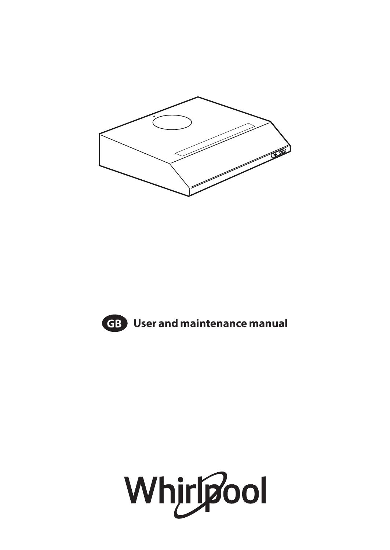



**GB User and maintenance manual**

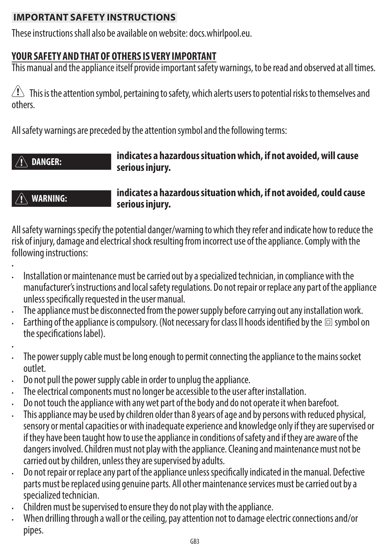# **IMPORTANT SAFETY INSTRUCTIONS**

These instructions shall also be available on website: docs.whirlpool.eu.

# **YOUR SAFETY AND THAT OF OTHERS IS VERY IMPORTANT**

This manual and the appliance itself provide important safety warnings, to be read and observed at all times.

 $\sqrt{!}$  This is the attention symbol, pertaining to safety, which alerts users to potential risks to themselves and others.

All safety warnings are preceded by the attention symbol and the following terms:

## **DANGER: indicates a hazardous situation which, if not avoided, will cause serious injury.**

# **WARNING: indicates a hazardous situation which, if not avoided, could cause serious injury.**

All safety warnings specify the potential danger/warning to which they refer and indicate how to reduce the risk of injury, damage and electrical shock resulting from incorrect use of the appliance. Comply with the following instructions:

- •
- Installation or maintenance must be carried out by a specialized technician, in compliance with the manufacturer's instructions and local safety regulations. Do not repair or replace any part of the appliance unless specifically requested in the user manual.
- The appliance must be disconnected from the power supply before carrying out any installation work.
- Earthing of the appliance is compulsory. (Not necessary for class II hoods identified by the  $\Box$  symbol on the specifications label).
- •
- The power supply cable must be long enough to permit connecting the appliance to the mains socket outlet.
- Do not pull the power supply cable in order to unplug the appliance.
- The electrical components must no longer be accessible to the user after installation.
- Do not touch the appliance with any wet part of the body and do not operate it when barefoot.
- This appliance may be used by children older than 8 years of age and by persons with reduced physical, sensory or mental capacities or with inadequate experience and knowledge only if they are supervised or if they have been taught how to use the appliance in conditions of safety and if they are aware of the dangers involved. Children must not play with the appliance. Cleaning and maintenance must not be carried out by children, unless they are supervised by adults.
- Do not repair or replace any part of the appliance unless specifically indicated in the manual. Defective parts must be replaced using genuine parts. All other maintenance services must be carried out by a specialized technician.
- Children must be supervised to ensure they do not play with the appliance.
- When drilling through a wall or the ceiling, pay attention not to damage electric connections and/or pipes.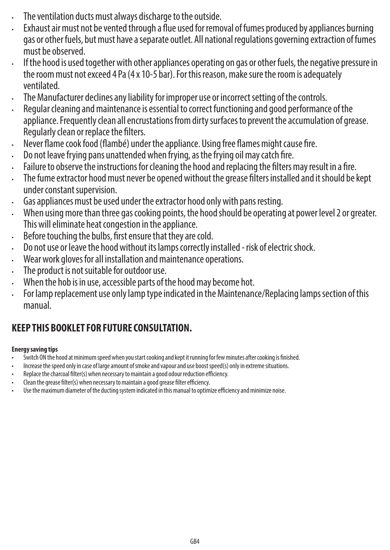- The ventilation ducts must always discharge to the outside.
- Exhaust air must not be vented through a flue used for removal of fumes produced by appliances burning gas or other fuels, but must have a separate outlet. All national regulations governing extraction of fumes must be observed.
- If the hood is used together with other appliances operating on gas or other fuels, the negative pressure in the room must not exceed 4 Pa (4 x 10-5 bar). For this reason, make sure the room is adequately ventilated.
- The Manufacturer declines any liability for improper use or incorrect setting of the controls.
- Regular cleaning and maintenance is essential to correct functioning and good performance of the appliance. Frequently clean all encrustations from dirty surfaces to prevent the accumulation of grease. Regularly clean or replace the filters.
- Never flame cook food (flambé) under the appliance. Using free flames might cause fire.
- Do not leave frying pans unattended when frying, as the frying oil may catch fire.
- Failure to observe the instructions for cleaning the hood and replacing the filters may result in a fire.
- The fume extractor hood must never be opened without the grease filters installed and it should be kept under constant supervision.
- Gas appliances must be used under the extractor hood only with pans resting.
- When using more than three gas cooking points, the hood should be operating at power level 2 or greater. This will eliminate heat congestion in the appliance.
- Before touching the bulbs, first ensure that they are cold.
- Do not use or leave the hood without its lamps correctly installed risk of electric shock.
- Wear work gloves for all installation and maintenance operations.
- The product is not suitable for outdoor use.
- When the hob is in use, accessible parts of the hood may become hot.
- For lamp replacement use only lamp type indicated in the Maintenance/Replacing lamps section of this manual.

# **KEEP THIS BOOKLET FOR FUTURE CONSULTATION.**

## **Energy saving tips**

- Switch ON the hood at minimum speed when you start cooking and kept it running for few minutes after cooking is finished.
- Increase the speed only in case of large amount of smoke and vapour and use boost speed(s) only in extreme situations.
- Replace the charcoal filter(s) when necessary to maintain a good odour reduction efficiency.
- Clean the grease filter(s) when necessary to maintain a good grease filter efficiency.
- Use the maximum diameter of the ducting system indicated in this manual to optimize efficiency and minimize noise.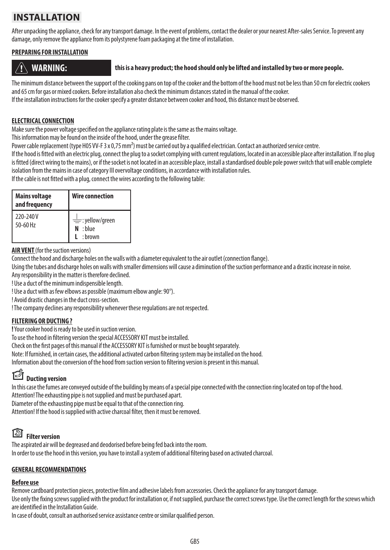# **INSTALLATION**

After unpacking the appliance, check for any transport damage. In the event of problems, contact the dealer or your nearest After-sales Service. To prevent any damage, only remove the appliance from its polystyrene foam packaging at the time of installation.

### **PREPARING FOR INSTALLATION**

### **WARNING: this is a heavy product; the hood should only be lifted and installed by two or more people.**

The minimum distance between the support of the cooking pans on top of the cooker and the bottom of the hood must not be less than 50 cm for electric cookers and 65 cm for gas or mixed cookers. Before installation also check the minimum distances stated in the manual of the cooker. If the installation instructions for the cooker specify a greater distance between cooker and hood, this distance must be observed.

#### **ELECTRICAL CONNECTION**

Make sure the power voltage specified on the appliance rating plate is the same as the mains voltage.

This information may be found on the inside of the hood, under the grease filter.

Power cable replacement (type H05 VV-F 3 x 0,75 mm<sup>2</sup>) must be carried out by a qualified electrician. Contact an authorized service centre.

If the hood is fitted with an electric plug, connect the plug to a socket complying with current regulations, located in an accessible place after installation. If no plug is fitted (direct wiring to the mains), or if the socket is not located in an accessible place, install a standardised double pole power switch that will enable complete isolation from the mains in case of category III overvoltage conditions, in accordance with installation rules.

If the cable is not fitted with a plug, connect the wires according to the following table:

| <b>Mains voltage</b><br>and frequency | Wire connection                                      |
|---------------------------------------|------------------------------------------------------|
| 220-240V<br>50-60 Hz                  | $\equiv$ :yellow/green<br>: blue<br>N<br>$L :$ hrown |

**AIR VENT** (for the suction versions)

Connect the hood and discharge holes on the walls with a diameter equivalent to the air outlet (connection flange).

Using the tubes and discharge holes on walls with smaller dimensions will cause a diminution of the suction performance and a drastic increase in noise.

Any responsibility in the matter is therefore declined.

! Use a duct of the minimum indispensible length.

! Use a duct with as few elbows as possible (maximum elbow angle: 90°).

! Avoid drastic changes in the duct cross-section.

! The company declines any responsibility whenever these regulations are not respected.

### **FILTERING OR DUCTING ?**

**!** Your cooker hood is ready to be used in suction version.

To use the hood in filtering version the special ACCESSORY KIT must be installed.

Check on the first pages of this manual if the ACCESSORY KIT is furnished or must be bought separately.

Note: If furnished, in certain cases, the additional activated carbon filtering system may be installed on the hood.

Information about the conversion of the hood from suction version to filtering version is present in this manual.

# **Ducting version**

In this case the fumes are conveyed outside of the building by means of a special pipe connected with the connection ring located on top of the hood.

Attention! The exhausting pipe is not supplied and must be purchased apart.

Diameter of the exhausting pipe must be equal to that of the connection ring.

Attention! If the hood is supplied with active charcoal filter, then it must be removed.

# **Filter version**

The aspirated air will be degreased and deodorised before being fed back into the room. In order to use the hood in this version, you have to install a system of additional filtering based on activated charcoal.

## **GENERAL RECOMMENDATIONS**

### **Before use**

Remove cardboard protection pieces, protective film and adhesive labels from accessories. Check the appliance for any transport damage.

Use only the fixing screws supplied with the product for installation or, if not supplied, purchase the correct screws type. Use the correct length for the screws which are identified in the Installation Guide.

In case of doubt, consult an authorised service assistance centre or similar qualified person.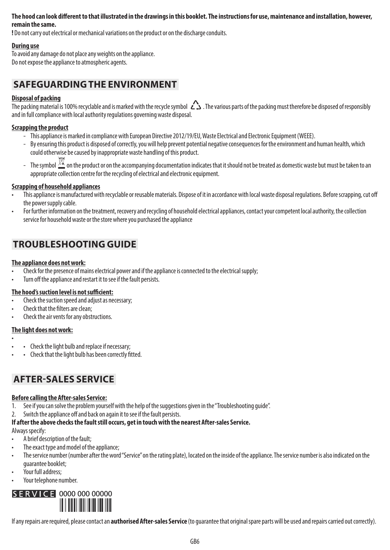#### **The hood can look different to that illustrated in the drawings in this booklet. The instructions for use, maintenance and installation, however, remain the same.**

**!** Do not carry out electrical or mechanical variations on the product or on the discharge conduits.

#### **During use**

To avoid any damage do not place any weights on the appliance. Do not expose the appliance to atmospheric agents.

## **SAFEGUARDING THE ENVIRONMENT**

#### **Disposal of packing**

The packing material is 100% recyclable and is marked with the recycle symbol  $\sum$ . The various parts of the packing must therefore be disposed of responsibly and in full compliance with local authority regulations governing waste disposal.

#### **Scrapping the product**

- This appliance is marked in compliance with European Directive 2012/19/EU, Waste Electrical and Electronic Equipment (WEEE).
- By ensuring this product is disposed of correctly, you will help prevent potential negative consequences for the environment and human health, which could otherwise be caused by inappropriate waste handling of this product.
- The symbol  $\frac{\bowtie}{\blacktriangle}$  on the product or on the accompanying documentation indicates that it should not be treated as domestic waste but must be taken to an appropriate collection centre for the recycling of electrical and electronic equipment.

#### **Scrapping of household appliances**

- This appliance is manufactured with recyclable or reusable materials. Dispose of it in accordance with local waste disposal regulations. Before scrapping, cut off the power supply cable.
- For further information on the treatment, recovery and recycling of household electrical appliances, contact your competent local authority, the collection service for household waste or the store where you purchased the appliance

# **TROUBLESHOOTING GUIDE**

#### **The appliance does not work:**

- Check for the presence of mains electrical power and if the appliance is connected to the electrical supply;
- Turn off the appliance and restart it to see if the fault persists.

#### **The hood's suction level is not sufficient:**

- Check the suction speed and adjust as necessary;
- Check that the filters are clean;
- Check the air vents for any obstructions.

#### **The light does not work:**

- • Check the light bulb and replace if necessary;
- • Check that the light bulb has been correctly fitted.

## **AFTER-SALES SERVICE**

#### **Before calling the After-sales Service:**

- 1. See if you can solve the problem yourself with the help of the suggestions given in the "Troubleshooting guide".
- 2. Switch the appliance off and back on again it to see if the fault persists.

#### **If after the above checks the fault still occurs, get in touch with the nearest After-sales Service.**

Always specify:

- A brief description of the fault;
- The exact type and model of the appliance:
- The service number (number after the word "Service" on the rating plate), located on the inside of the appliance. The service number is also indicated on the guarantee booklet;
- Your full address:
- Your telephone number.



If any repairs are required, please contact an **authorised After-sales Service** (to guarantee that original spare parts will be used and repairs carried out correctly).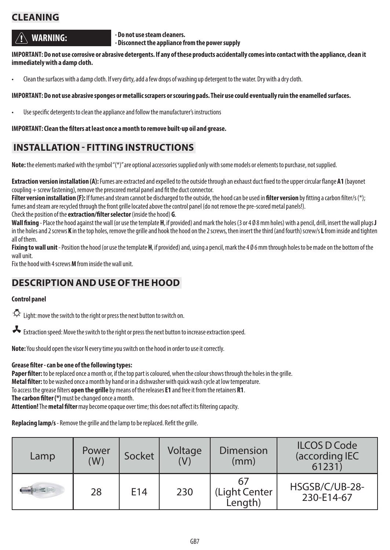# **CLEANING**

**WARNING:** *Do not use steam cleaners.* 

 **- Disconnect the appliance from the power supply**

**IMPORTANT: Do not use corrosive or abrasive detergents. If any of these products accidentally comes into contact with the appliance, clean it immediately with a damp cloth.**

• Clean the surfaces with a damp cloth. If very dirty, add a few drops of washing up detergent to the water. Dry with a dry cloth.

#### **IMPORTANT: Do not use abrasive sponges or metallic scrapers or scouring pads. Their use could eventually ruin the enamelled surfaces.**

• Use specific detergents to clean the appliance and follow the manufacturer's instructions

#### **IMPORTANT: Clean the filters at least once a month to remove built-up oil and grease.**

## **INSTALLATION - FITTING INSTRUCTIONS**

**Note:** the elements marked with the symbol "(\*)" are optional accessories supplied only with some models or elements to purchase, not supplied.

**Extraction version installation (A):** Fumes are extracted and expelled to the outside through an exhaust duct fixed to the upper circular flange **A1** (bayonet coupling + screw fastening), remove the prescored metal panel and fit the duct connector.

**Filter version installation (F):** If fumes and steam cannot be discharged to the outside, the hood can be used in **filter version** by fitting a carbon filter/s (\*); fumes and steam are recycled through the front grille located above the control panel (do not remove the pre-scored metal panels!).

Check the position of the **extraction/filter selector** (inside the hood) **G**.

**Wall fixing** - Place the hood against the wall (or use the template **H**, if provided) and mark the holes (3 or 4 Ø 8 mm holes) with a pencil, drill, insert the wall plugs **J** in the holes and 2 screws **K** in the top holes, remove the grille and hook the hood on the 2 screws, then insert the third (and fourth) screw/s **L** from inside and tighten all of them.

**Fixing to wall unit** - Position the hood (or use the template **H**, if provided) and, using a pencil, mark the 4 Ø 6 mm through holes to be made on the bottom of the wall unit.

Fix the hood with 4 screws **M** from inside the wall unit.

## **DESCRIPTION AND USE OF THE HOOD**

#### **Control panel**

Light: move the switch to the right or press the next button to switch on.

Extraction speed: Move the switch to the right or press the next button to increase extraction speed.

**Note:** You should open the visor N every time you switch on the hood in order to use it correctly.

#### **Grease filter - can be one of the following types:**

**Paper filter:** to be replaced once a month or, if the top part is coloured, when the colour shows through the holes in the grille. **Metal filter:** to be washed once a month by hand or in a dishwasher with quick wash cycle at low temperature. To access the grease filters **open the grille** by means of the releases **E1** and free it from the retainers **R1**. **The carbon filter (\*)** must be changed once a month. **Attention!** The **metal filter** may become opaque over time; this does not affect its filtering capacity.

**Replacing lamp/s** - Remove the grille and the lamp to be replaced. Refit the grille.

| Lamp | Power<br>(W) | Socket | Voltage | <b>Dimension</b><br>(mm) | <b>ILCOS D Code</b><br>(according IEC<br>61231 |
|------|--------------|--------|---------|--------------------------|------------------------------------------------|
|      | 28           | E14    | 230     | (Light Center<br>Length) | HSGSB/C/UB-28-<br>230-E14-67                   |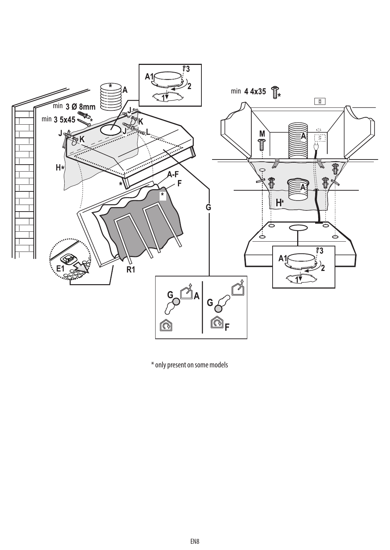

\* only present on some models